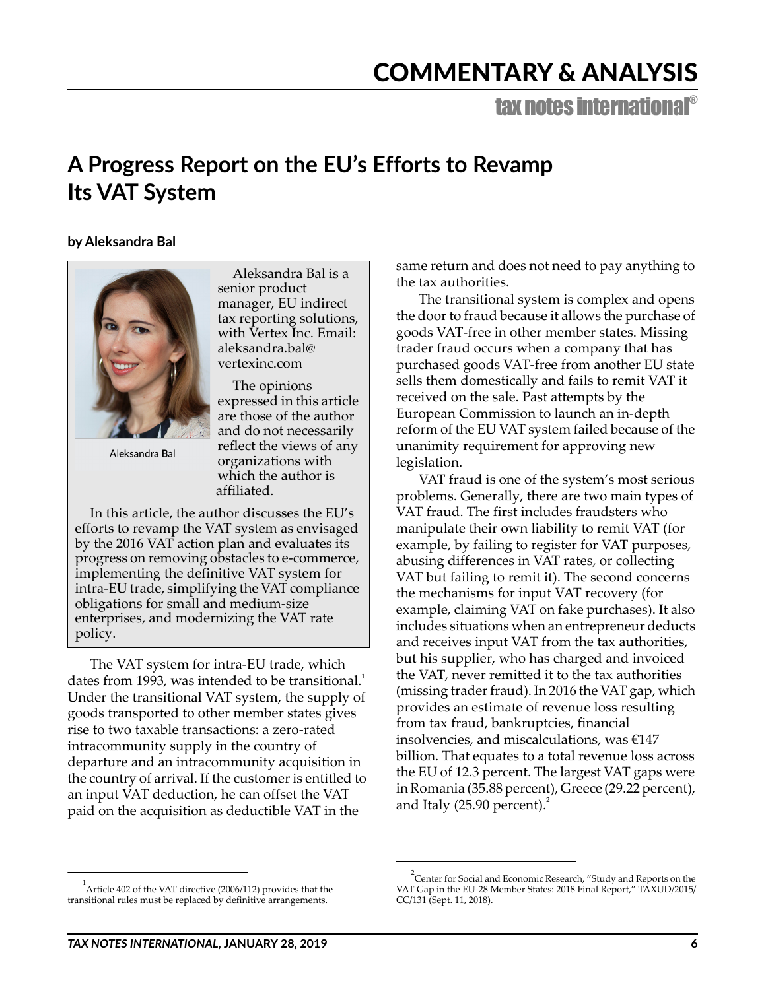# COMMENTARY & ANALYSIS

tax notes international®

## **A Progress Report on the EU's Efforts to Revamp Its VAT System**

### **by Aleksandra Bal**



Aleksandra Bal

Aleksandra Bal is a senior product manager, EU indirect tax reporting solutions, with Vertex Inc. Email: aleksandra.bal@ vertexinc.com

The opinions expressed in this article are those of the author and do not necessarily reflect the views of any organizations with which the author is affiliated.

In this article, the author discusses the EU's efforts to revamp the VAT system as envisaged by the 2016 VAT action plan and evaluates its progress on removing obstacles to e-commerce, implementing the definitive VAT system for intra-EU trade, simplifying the VAT compliance obligations for small and medium-size enterprises, and modernizing the VAT rate policy.

The VAT system for intra-EU trade, which dates from 1993, was intended to be transitional.<sup>1</sup> Under the transitional VAT system, the supply of goods transported to other member states gives rise to two taxable transactions: a zero-rated intracommunity supply in the country of departure and an intracommunity acquisition in the country of arrival. If the customer is entitled to an input VAT deduction, he can offset the VAT paid on the acquisition as deductible VAT in the

same return and does not need to pay anything to the tax authorities.

The transitional system is complex and opens the door to fraud because it allows the purchase of goods VAT-free in other member states. Missing trader fraud occurs when a company that has purchased goods VAT-free from another EU state sells them domestically and fails to remit VAT it received on the sale. Past attempts by the European Commission to launch an in-depth reform of the EU VAT system failed because of the unanimity requirement for approving new legislation.

VAT fraud is one of the system's most serious problems. Generally, there are two main types of VAT fraud. The first includes fraudsters who manipulate their own liability to remit VAT (for example, by failing to register for VAT purposes, abusing differences in VAT rates, or collecting VAT but failing to remit it). The second concerns the mechanisms for input VAT recovery (for example, claiming VAT on fake purchases). It also includes situations when an entrepreneur deducts and receives input VAT from the tax authorities, but his supplier, who has charged and invoiced the VAT, never remitted it to the tax authorities (missing trader fraud). In 2016 the VAT gap, which provides an estimate of revenue loss resulting from tax fraud, bankruptcies, financial insolvencies, and miscalculations, was €147 billion. That equates to a total revenue loss across the EU of 12.3 percent. The largest VAT gaps were in Romania (35.88 percent), Greece (29.22 percent), and Italy (25.90 percent). $^{2}$ 

 $1$ Article 402 of the VAT directive (2006/112) provides that the transitional rules must be replaced by definitive arrangements.

 $\rm{^{2}}$ Center for Social and Economic Research, "Study and Reports on the VAT Gap in the EU-28 Member States: 2018 Final Report," TAXUD/2015/ CC/131 (Sept. 11, 2018).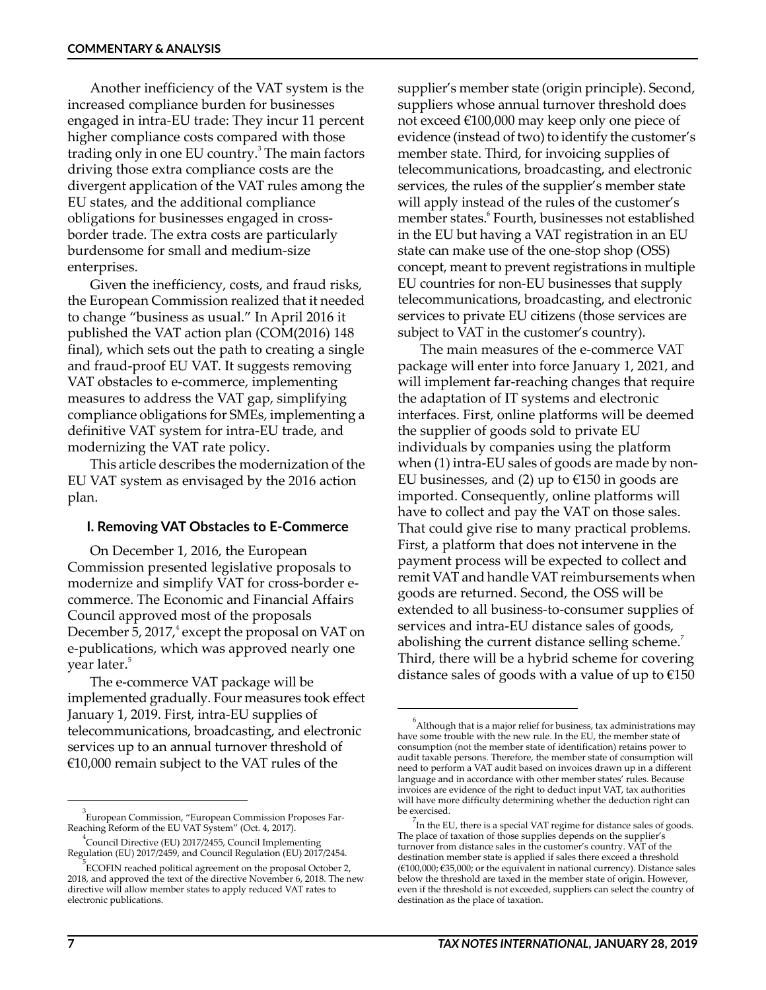Another inefficiency of the VAT system is the increased compliance burden for businesses engaged in intra-EU trade: They incur 11 percent higher compliance costs compared with those trading only in one EU country.<sup>3</sup> The main factors driving those extra compliance costs are the divergent application of the VAT rules among the EU states, and the additional compliance obligations for businesses engaged in crossborder trade. The extra costs are particularly burdensome for small and medium-size enterprises.

Given the inefficiency, costs, and fraud risks, the European Commission realized that it needed to change "business as usual." In April 2016 it published the VAT action plan (COM(2016) 148 final), which sets out the path to creating a single and fraud-proof EU VAT. It suggests removing VAT obstacles to e-commerce, implementing measures to address the VAT gap, simplifying compliance obligations for SMEs, implementing a definitive VAT system for intra-EU trade, and modernizing the VAT rate policy.

This article describes the modernization of the EU VAT system as envisaged by the 2016 action plan.

#### **I. Removing VAT Obstacles to E-Commerce**

On December 1, 2016, the European Commission presented legislative proposals to modernize and simplify VAT for cross-border ecommerce. The Economic and Financial Affairs Council approved most of the proposals December 5, 2017,<sup>4</sup> except the proposal on VAT on e-publications, which was approved nearly one year later.<sup>5</sup>

The e-commerce VAT package will be implemented gradually. Four measures took effect January 1, 2019. First, intra-EU supplies of telecommunications, broadcasting, and electronic services up to an annual turnover threshold of €10,000 remain subject to the VAT rules of the

supplier's member state (origin principle). Second, suppliers whose annual turnover threshold does not exceed €100,000 may keep only one piece of evidence (instead of two) to identify the customer's member state. Third, for invoicing supplies of telecommunications, broadcasting, and electronic services, the rules of the supplier's member state will apply instead of the rules of the customer's member states.<sup>6</sup> Fourth, businesses not established in the EU but having a VAT registration in an EU state can make use of the one-stop shop (OSS) concept, meant to prevent registrations in multiple EU countries for non-EU businesses that supply telecommunications, broadcasting, and electronic services to private EU citizens (those services are subject to VAT in the customer's country).

The main measures of the e-commerce VAT package will enter into force January 1, 2021, and will implement far-reaching changes that require the adaptation of IT systems and electronic interfaces. First, online platforms will be deemed the supplier of goods sold to private EU individuals by companies using the platform when (1) intra-EU sales of goods are made by non-EU businesses, and (2) up to  $E150$  in goods are imported. Consequently, online platforms will have to collect and pay the VAT on those sales. That could give rise to many practical problems. First, a platform that does not intervene in the payment process will be expected to collect and remit VAT and handle VAT reimbursements when goods are returned. Second, the OSS will be extended to all business-to-consumer supplies of services and intra-EU distance sales of goods, abolishing the current distance selling scheme. Third, there will be a hybrid scheme for covering distance sales of goods with a value of up to  $E$ 150

<sup>3</sup> European Commission, "European Commission Proposes Far-Reaching Reform of the EU VAT System" (Oct. 4, 2017).

<sup>4</sup> Council Directive (EU) 2017/2455, Council Implementing Regulation (EU) 2017/2459, and Council Regulation (EU) 2017/2454.

 $5$ ECOFIN reached political agreement on the proposal October 2, 2018, and approved the text of the directive November 6, 2018. The new directive will allow member states to apply reduced VAT rates to electronic publications.

 $\mathrm{^{6}}$ Although that is a major relief for business, tax administrations may have some trouble with the new rule. In the EU, the member state of consumption (not the member state of identification) retains power to audit taxable persons. Therefore, the member state of consumption will need to perform a VAT audit based on invoices drawn up in a different language and in accordance with other member states' rules. Because invoices are evidence of the right to deduct input VAT, tax authorities will have more difficulty determining whether the deduction right can be exercised.

In the EU, there is a special VAT regime for distance sales of goods. The place of taxation of those supplies depends on the supplier's turnover from distance sales in the customer's country. VAT of the destination member state is applied if sales there exceed a threshold (€100,000; €35,000; or the equivalent in national currency). Distance sales below the threshold are taxed in the member state of origin. However, even if the threshold is not exceeded, suppliers can select the country of destination as the place of taxation.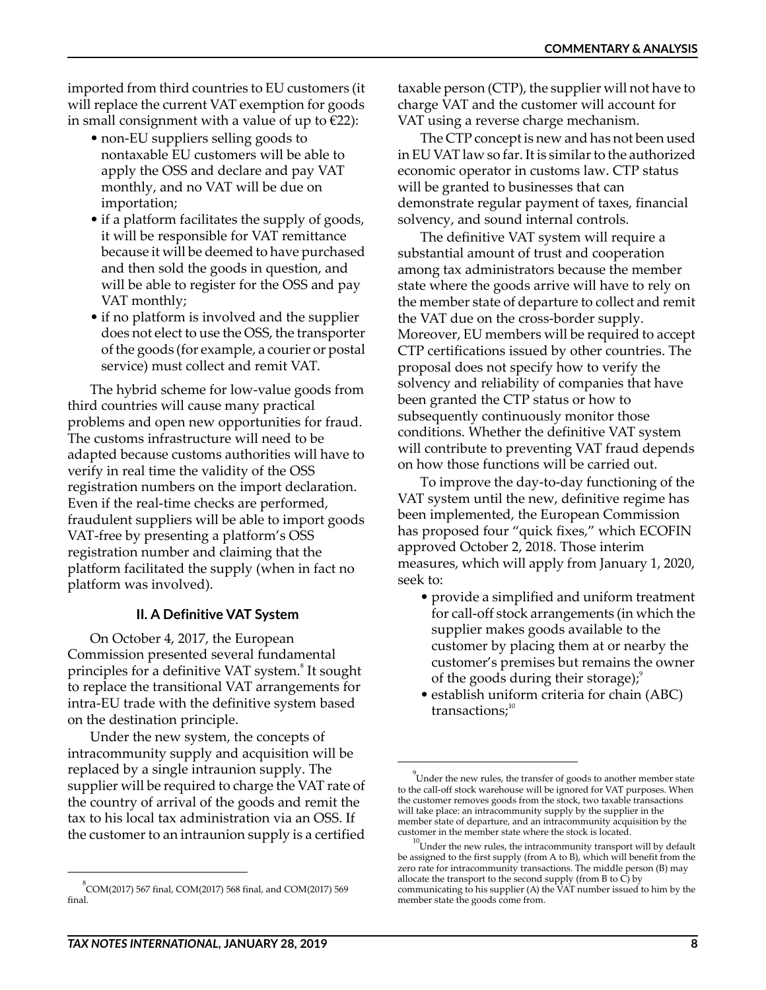imported from third countries to EU customers (it will replace the current VAT exemption for goods in small consignment with a value of up to  $\epsilon$ 22):

- non-EU suppliers selling goods to nontaxable EU customers will be able to apply the OSS and declare and pay VAT monthly, and no VAT will be due on importation;
- if a platform facilitates the supply of goods, it will be responsible for VAT remittance because it will be deemed to have purchased and then sold the goods in question, and will be able to register for the OSS and pay VAT monthly;
- if no platform is involved and the supplier does not elect to use the OSS, the transporter of the goods (for example, a courier or postal service) must collect and remit VAT.

The hybrid scheme for low-value goods from third countries will cause many practical problems and open new opportunities for fraud. The customs infrastructure will need to be adapted because customs authorities will have to verify in real time the validity of the OSS registration numbers on the import declaration. Even if the real-time checks are performed, fraudulent suppliers will be able to import goods VAT-free by presenting a platform's OSS registration number and claiming that the platform facilitated the supply (when in fact no platform was involved).

#### **II. A Definitive VAT System**

On October 4, 2017, the European Commission presented several fundamental principles for a definitive VAT system.<sup>8</sup> It sought to replace the transitional VAT arrangements for intra-EU trade with the definitive system based on the destination principle.

Under the new system, the concepts of intracommunity supply and acquisition will be replaced by a single intraunion supply. The supplier will be required to charge the VAT rate of the country of arrival of the goods and remit the tax to his local tax administration via an OSS. If the customer to an intraunion supply is a certified

taxable person (CTP), the supplier will not have to charge VAT and the customer will account for VAT using a reverse charge mechanism.

The CTP concept is new and has not been used in EU VAT law so far. It is similar to the authorized economic operator in customs law. CTP status will be granted to businesses that can demonstrate regular payment of taxes, financial solvency, and sound internal controls.

The definitive VAT system will require a substantial amount of trust and cooperation among tax administrators because the member state where the goods arrive will have to rely on the member state of departure to collect and remit the VAT due on the cross-border supply. Moreover, EU members will be required to accept CTP certifications issued by other countries. The proposal does not specify how to verify the solvency and reliability of companies that have been granted the CTP status or how to subsequently continuously monitor those conditions. Whether the definitive VAT system will contribute to preventing VAT fraud depends on how those functions will be carried out.

To improve the day-to-day functioning of the VAT system until the new, definitive regime has been implemented, the European Commission has proposed four "quick fixes," which ECOFIN approved October 2, 2018. Those interim measures, which will apply from January 1, 2020, seek to:

- provide a simplified and uniform treatment for call-off stock arrangements (in which the supplier makes goods available to the customer by placing them at or nearby the customer's premises but remains the owner of the goods during their storage); $\theta$
- establish uniform criteria for chain (ABC) transactions; $10$

 $\rm ^{8}COM (2017)$  567 final, COM(2017) 568 final, and COM(2017) 569 final.

 $^{9}$ Under the new rules, the transfer of goods to another member state to the call-off stock warehouse will be ignored for VAT purposes. When the customer removes goods from the stock, two taxable transactions will take place: an intracommunity supply by the supplier in the member state of departure, and an intracommunity acquisition by the customer in the member state where the stock is located.

 $^{10}$ Under the new rules, the intracommunity transport will by default be assigned to the first supply (from A to B), which will benefit from the zero rate for intracommunity transactions. The middle person (B) may allocate the transport to the second supply (from B to C) by communicating to his supplier (A) the VAT number issued to him by the member state the goods come from.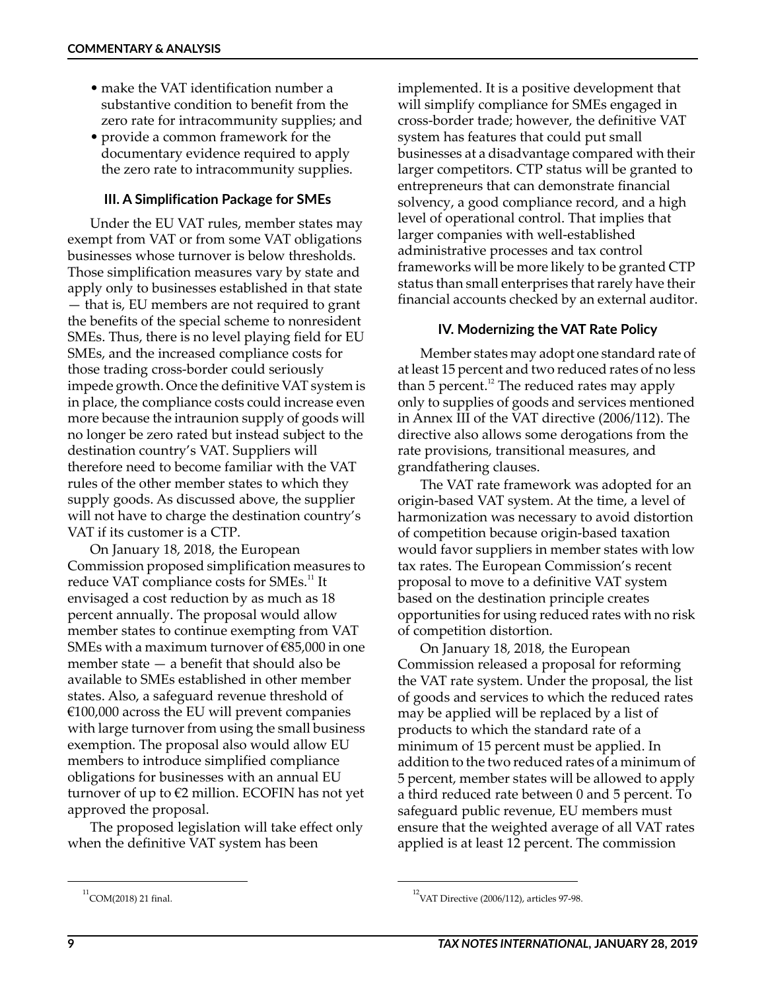- make the VAT identification number a substantive condition to benefit from the zero rate for intracommunity supplies; and
- provide a common framework for the documentary evidence required to apply the zero rate to intracommunity supplies.

#### **III. A Simplification Package for SMEs**

Under the EU VAT rules, member states may exempt from VAT or from some VAT obligations businesses whose turnover is below thresholds. Those simplification measures vary by state and apply only to businesses established in that state — that is, EU members are not required to grant the benefits of the special scheme to nonresident SMEs. Thus, there is no level playing field for EU SMEs, and the increased compliance costs for those trading cross-border could seriously impede growth. Once the definitive VAT system is in place, the compliance costs could increase even more because the intraunion supply of goods will no longer be zero rated but instead subject to the destination country's VAT. Suppliers will therefore need to become familiar with the VAT rules of the other member states to which they supply goods. As discussed above, the supplier will not have to charge the destination country's VAT if its customer is a CTP.

On January 18, 2018, the European Commission proposed simplification measures to reduce VAT compliance costs for SMEs.<sup>11</sup> It envisaged a cost reduction by as much as 18 percent annually. The proposal would allow member states to continue exempting from VAT SMEs with a maximum turnover of €85,000 in one member state — a benefit that should also be available to SMEs established in other member states. Also, a safeguard revenue threshold of  $€100,000$  across the EU will prevent companies with large turnover from using the small business exemption. The proposal also would allow EU members to introduce simplified compliance obligations for businesses with an annual EU turnover of up to  $\epsilon$ 2 million. ECOFIN has not yet approved the proposal.

The proposed legislation will take effect only when the definitive VAT system has been

implemented. It is a positive development that will simplify compliance for SMEs engaged in cross-border trade; however, the definitive VAT system has features that could put small businesses at a disadvantage compared with their larger competitors. CTP status will be granted to entrepreneurs that can demonstrate financial solvency, a good compliance record, and a high level of operational control. That implies that larger companies with well-established administrative processes and tax control frameworks will be more likely to be granted CTP status than small enterprises that rarely have their financial accounts checked by an external auditor.

#### **IV. Modernizing the VAT Rate Policy**

Member states may adopt one standard rate of at least 15 percent and two reduced rates of no less than 5 percent.<sup>12</sup> The reduced rates may apply only to supplies of goods and services mentioned in Annex III of the VAT directive (2006/112). The directive also allows some derogations from the rate provisions, transitional measures, and grandfathering clauses.

The VAT rate framework was adopted for an origin-based VAT system. At the time, a level of harmonization was necessary to avoid distortion of competition because origin-based taxation would favor suppliers in member states with low tax rates. The European Commission's recent proposal to move to a definitive VAT system based on the destination principle creates opportunities for using reduced rates with no risk of competition distortion.

On January 18, 2018, the European Commission released a proposal for reforming the VAT rate system. Under the proposal, the list of goods and services to which the reduced rates may be applied will be replaced by a list of products to which the standard rate of a minimum of 15 percent must be applied. In addition to the two reduced rates of a minimum of 5 percent, member states will be allowed to apply a third reduced rate between 0 and 5 percent. To safeguard public revenue, EU members must ensure that the weighted average of all VAT rates applied is at least 12 percent. The commission

 $^{12}$ COM(2018) 21 final. 12VAT Directive (2006/112), articles 97-98.